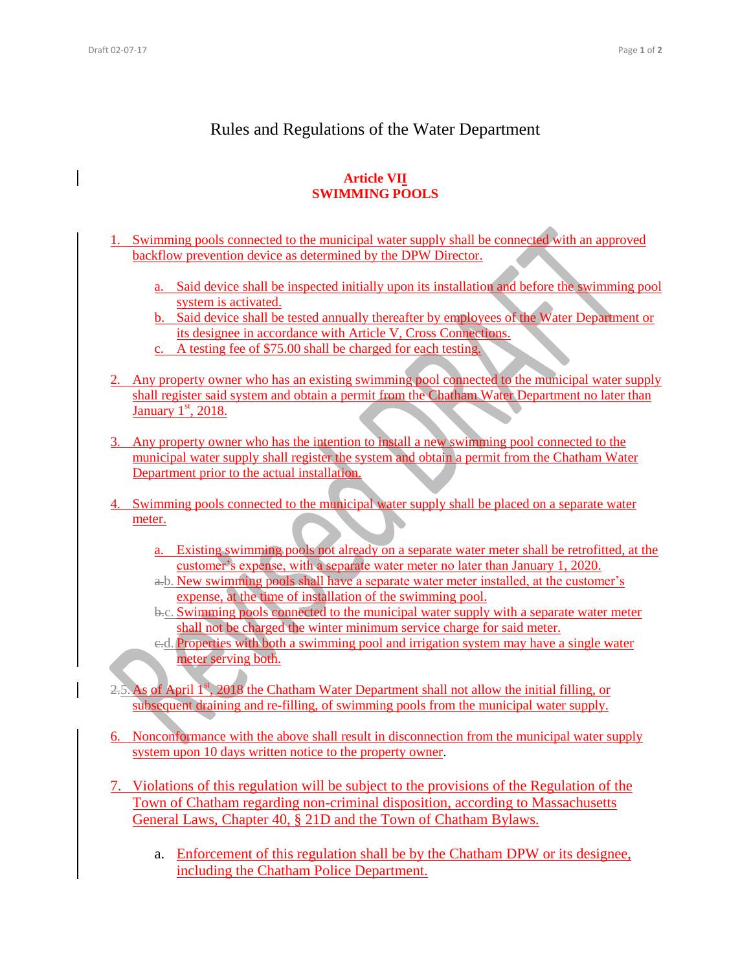## Rules and Regulations of the Water Department

## **Article VII SWIMMING POOLS**

- 1. Swimming pools connected to the municipal water supply shall be connected with an approved backflow prevention device as determined by the DPW Director.
	- a. Said device shall be inspected initially upon its installation and before the swimming pool system is activated.
	- b. Said device shall be tested annually thereafter by employees of the Water Department or its designee in accordance with Article V, Cross Connections.
	- c. A testing fee of \$75.00 shall be charged for each testing.
- 2. Any property owner who has an existing swimming pool connected to the municipal water supply shall register said system and obtain a permit from the Chatham Water Department no later than January  $1<sup>st</sup>$ , 2018.
- 3. Any property owner who has the intention to install a new swimming pool connected to the municipal water supply shall register the system and obtain a permit from the Chatham Water Department prior to the actual installation.
- 4. Swimming pools connected to the municipal water supply shall be placed on a separate water meter.
	- a. Existing swimming pools not already on a separate water meter shall be retrofitted, at the customer's expense, with a separate water meter no later than January 1, 2020.
	- a.b. New swimming pools shall have a separate water meter installed, at the customer's expense, at the time of installation of the swimming pool.
	- b.c. Swimming pools connected to the municipal water supply with a separate water meter shall not be charged the winter minimum service charge for said meter.
	- c.d. Properties with both a swimming pool and irrigation system may have a single water meter serving both.
- As of April  $I^{\text{st}}$ , 2018 the Chatham Water Department shall not allow the initial filling, or subsequent draining and re-filling, of swimming pools from the municipal water supply.
- 6. Nonconformance with the above shall result in disconnection from the municipal water supply system upon 10 days written notice to the property owner.
- 7. Violations of this regulation will be subject to the provisions of the Regulation of the Town of Chatham regarding non-criminal disposition, according to Massachusetts General Laws, Chapter 40, § 21D and the Town of Chatham Bylaws.
	- a. Enforcement of this regulation shall be by the Chatham DPW or its designee, including the Chatham Police Department.